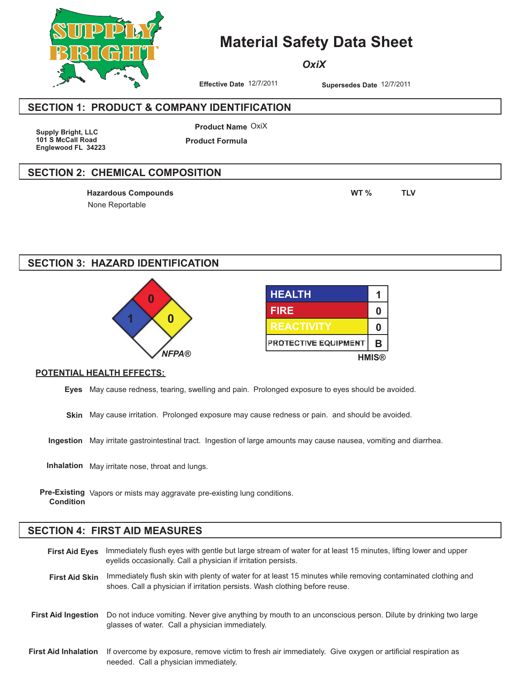

## **Material Safety Data Sheet**

*OxiX*

**Effective Date** 12/7/2011 **Supersedes Date** 12/7/2011

#### **SECTION 1: PRODUCT & COMPANY IDENTIFICATION**

**Supply Bright, LLC 101 S McCall Road Englewood FL 34223**

**Product Name** OxiX **Product Formula**

#### **SECTION 2: CHEMICAL COMPOSITION**

None Reportable **Hazardous Compounds WT % TLV**

## **SECTION 3: HAZARD IDENTIFICATION**



| <b>HEALTH</b>        |   |
|----------------------|---|
| <b>FIRE</b>          | n |
| <b>REACTIVITY</b>    | n |
| PROTECTIVE EQUIPMENT | в |
| <b>HMIS®</b>         |   |

#### **POTENTIAL HEALTH EFFECTS:**

**Eyes** May cause redness, tearing, swelling and pain. Prolonged exposure to eyes should be avoided.

**Skin** May cause irritation. Prolonged exposure may cause redness or pain. and should be avoided.

**Ingestion** May irritate gastrointestinal tract. Ingestion of large amounts may cause nausea, vomiting and diarrhea.

**Inhalation** May irritate nose, throat and lungs.

**Pre-Existing** Vapors or mists may aggravate pre-existing lung conditions. **Condition**

#### **SECTION 4: FIRST AID MEASURES**

Immediately flush eyes with gentle but large stream of water for at least 15 minutes, lifting lower and upper eyelids occasionally. Call a physician if irritation persists. **First Aid Eyes**

First Aid Skin Immediately flush skin with plenty of water for at least 15 minutes while removing contaminated clothing and shoes. Call a physician if irritation persists. Wash clothing before reuse.

- Do not induce vomiting. Never give anything by mouth to an unconscious person. Dilute by drinking two large glasses of water. Call a physician immediately. **First Aid Ingestion**
- If overcome by exposure, remove victim to fresh air immediately. Give oxygen or artificial respiration as needed. Call a physician immediately. **First Aid Inhalation**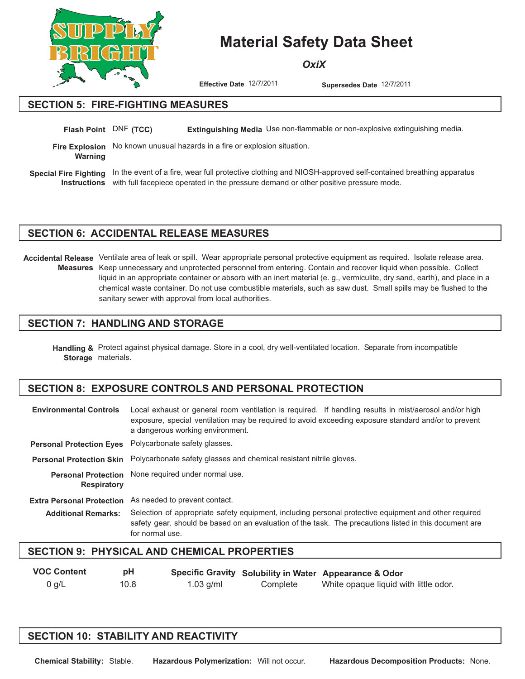

# **Material Safety Data Sheet**

*OxiX*

**Effective Date** 12/7/2011 **Supersedes Date** 12/7/2011

#### **SECTION 5: FIRE-FIGHTING MEASURES**

**Flash Point** DNF (TCC) Extinguishing Media Use non-flammable or non-explosive extinguishing media.

**Fire Explosion** No known unusual hazards in a fire or explosion situation. **Warning**

Special Fire Fighting In the event of a fire, wear full protective clothing and NIOSH-approved self-contained breathing apparatus Instructions with full facepiece operated in the pressure demand or other positive pressure mode.

#### **SECTION 6: ACCIDENTAL RELEASE MEASURES**

Accidental Release Ventilate area of leak or spill. Wear appropriate personal protective equipment as required. Isolate release area. Measures Keep unnecessary and unprotected personnel from entering. Contain and recover liquid when possible. Collect liquid in an appropriate container or absorb with an inert material (e. g., vermiculite, dry sand, earth), and place in a chemical waste container. Do not use combustible materials, such as saw dust. Small spills may be flushed to the sanitary sewer with approval from local authorities.

#### **SECTION 7: HANDLING AND STORAGE**

Handling & Protect against physical damage. Store in a cool, dry well-ventilated location. Separate from incompatible Storage materials.

## **SECTION 8: EXPOSURE CONTROLS AND PERSONAL PROTECTION**

| <b>Environmental Controls</b>                    | Local exhaust or general room ventilation is required. If handling results in mist/aerosol and/or high<br>exposure, special ventilation may be required to avoid exceeding exposure standard and/or to prevent<br>a dangerous working environment. |  |  |  |  |
|--------------------------------------------------|----------------------------------------------------------------------------------------------------------------------------------------------------------------------------------------------------------------------------------------------------|--|--|--|--|
| <b>Personal Protection Eyes</b>                  | Polycarbonate safety glasses.                                                                                                                                                                                                                      |  |  |  |  |
| <b>Personal Protection Skin</b>                  | Polycarbonate safety glasses and chemical resistant nitrile gloves.                                                                                                                                                                                |  |  |  |  |
| <b>Personal Protection</b><br><b>Respiratory</b> | None required under normal use.                                                                                                                                                                                                                    |  |  |  |  |
| <b>Extra Personal Protection</b>                 | As needed to prevent contact.                                                                                                                                                                                                                      |  |  |  |  |
| <b>Additional Remarks:</b>                       | Selection of appropriate safety equipment, including personal protective equipment and other required<br>safety gear, should be based on an evaluation of the task. The precautions listed in this document are<br>for normal use.                 |  |  |  |  |

#### **SECTION 9: PHYSICAL AND CHEMICAL PROPERTIES**

| <b>VOC Content</b> | рH   |             |          | Specific Gravity Solubility in Water Appearance & Odor |
|--------------------|------|-------------|----------|--------------------------------------------------------|
| 0 g/L              | 10.8 | $1.03$ g/ml | Complete | White opaque liquid with little odor.                  |

#### **SECTION 10: STABILITY AND REACTIVITY**